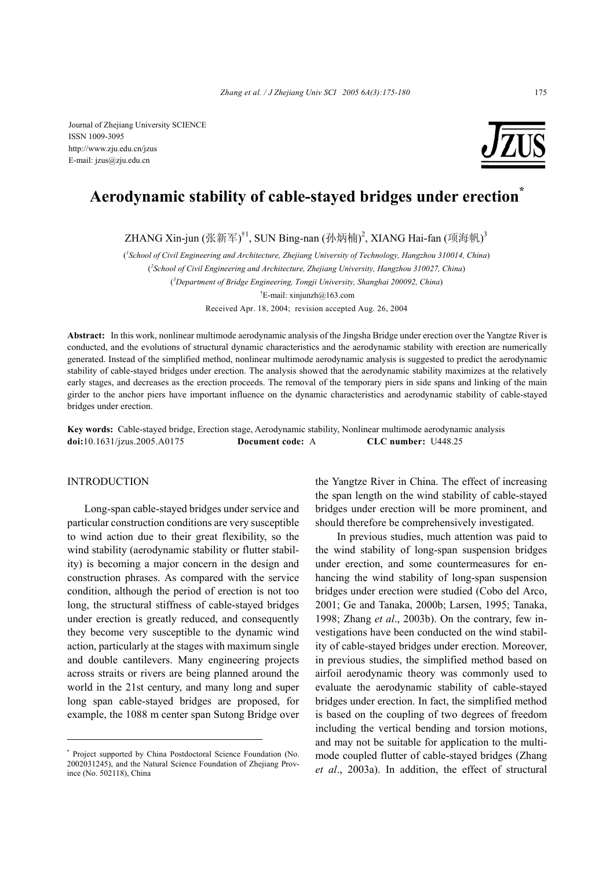

# **Aerodynamic stability of cable-stayed bridges under erection\***

ZHANG Xin-jun (张新军)<sup>†1</sup>, SUN Bing-nan (孙炳楠)<sup>2</sup>, XIANG Hai-fan (项海帆)<sup>3</sup>

( *1 School of Civil Engineering and Architecture, Zhejiang University of Technology, Hangzhou 310014, China*)

( *2 School of Civil Engineering and Architecture, Zhejiang University, Hangzhou 310027, China*) ( *3 Department of Bridge Engineering, Tongji University, Shanghai 200092, China*)  $E$ -mail: xinjunzh $@163$ .com

Received Apr. 18, 2004; revision accepted Aug. 26, 2004

**Abstract:** In this work, nonlinear multimode aerodynamic analysis of the Jingsha Bridge under erection over the Yangtze River is conducted, and the evolutions of structural dynamic characteristics and the aerodynamic stability with erection are numerically generated. Instead of the simplified method, nonlinear multimode aerodynamic analysis is suggested to predict the aerodynamic stability of cable-stayed bridges under erection. The analysis showed that the aerodynamic stability maximizes at the relatively early stages, and decreases as the erection proceeds. The removal of the temporary piers in side spans and linking of the main girder to the anchor piers have important influence on the dynamic characteristics and aerodynamic stability of cable-stayed bridges under erection.

**Key words:** Cable-stayed bridge, Erection stage, Aerodynamic stability, Nonlinear multimode aerodynamic analysis **doi:**10.1631/jzus.2005.A0175 **Document code:** A **CLC number:** U448.25

#### INTRODUCTION

Long-span cable-stayed bridges under service and particular construction conditions are very susceptible to wind action due to their great flexibility, so the wind stability (aerodynamic stability or flutter stability) is becoming a major concern in the design and construction phrases. As compared with the service condition, although the period of erection is not too long, the structural stiffness of cable-stayed bridges under erection is greatly reduced, and consequently they become very susceptible to the dynamic wind action, particularly at the stages with maximum single and double cantilevers. Many engineering projects across straits or rivers are being planned around the world in the 21st century, and many long and super long span cable-stayed bridges are proposed, for example, the 1088 m center span Sutong Bridge over

the Yangtze River in China. The effect of increasing the span length on the wind stability of cable-stayed bridges under erection will be more prominent, and should therefore be comprehensively investigated.

In previous studies, much attention was paid to the wind stability of long-span suspension bridges under erection, and some countermeasures for enhancing the wind stability of long-span suspension bridges under erection were studied (Cobo del Arco, 2001; Ge and Tanaka, 2000b; Larsen, 1995; Tanaka, 1998; Zhang *et al*., 2003b). On the contrary, few investigations have been conducted on the wind stability of cable-stayed bridges under erection. Moreover, in previous studies, the simplified method based on airfoil aerodynamic theory was commonly used to evaluate the aerodynamic stability of cable-stayed bridges under erection. In fact, the simplified method is based on the coupling of two degrees of freedom including the vertical bending and torsion motions, and may not be suitable for application to the multimode coupled flutter of cable-stayed bridges (Zhang *et al*., 2003a). In addition, the effect of structural

<sup>\*</sup> Project supported by China Postdoctoral Science Foundation (No. 2002031245), and the Natural Science Foundation of Zhejiang Province (No. 502118), China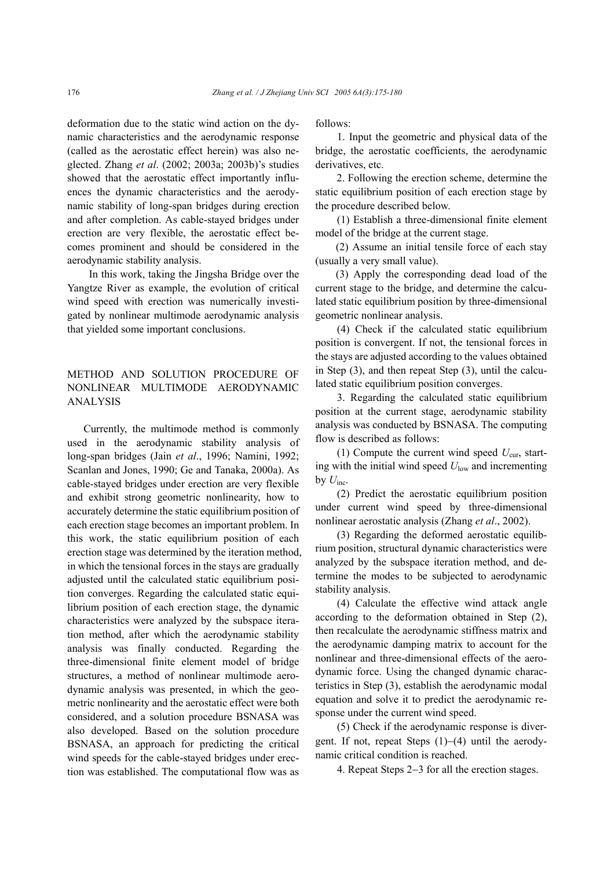deformation due to the static wind action on the dynamic characteristics and the aerodynamic response (called as the aerostatic effect herein) was also neglected. Zhang *et al*. (2002; 2003a; 2003b)'s studies showed that the aerostatic effect importantly influences the dynamic characteristics and the aerodynamic stability of long-span bridges during erection and after completion. As cable-stayed bridges under erection are very flexible, the aerostatic effect becomes prominent and should be considered in the aerodynamic stability analysis.

In this work, taking the Jingsha Bridge over the Yangtze River as example, the evolution of critical wind speed with erection was numerically investigated by nonlinear multimode aerodynamic analysis that yielded some important conclusions.

## METHOD AND SOLUTION PROCEDURE OF NONLINEAR MULTIMODE AERODYNAMIC ANALYSIS

Currently, the multimode method is commonly used in the aerodynamic stability analysis of long-span bridges (Jain *et al*., 1996; Namini, 1992; Scanlan and Jones, 1990; Ge and Tanaka, 2000a). As cable-stayed bridges under erection are very flexible and exhibit strong geometric nonlinearity, how to accurately determine the static equilibrium position of each erection stage becomes an important problem. In this work, the static equilibrium position of each erection stage was determined by the iteration method, in which the tensional forces in the stays are gradually adjusted until the calculated static equilibrium position converges. Regarding the calculated static equilibrium position of each erection stage, the dynamic characteristics were analyzed by the subspace iteration method, after which the aerodynamic stability analysis was finally conducted. Regarding the three-dimensional finite element model of bridge structures, a method of nonlinear multimode aerodynamic analysis was presented, in which the geometric nonlinearity and the aerostatic effect were both considered, and a solution procedure BSNASA was also developed. Based on the solution procedure BSNASA, an approach for predicting the critical wind speeds for the cable-stayed bridges under erection was established. The computational flow was as

follows:

1. Input the geometric and physical data of the bridge, the aerostatic coefficients, the aerodynamic derivatives, etc.

2. Following the erection scheme, determine the static equilibrium position of each erection stage by the procedure described below.

(1) Establish a three-dimensional finite element model of the bridge at the current stage.

(2) Assume an initial tensile force of each stay (usually a very small value).

(3) Apply the corresponding dead load of the current stage to the bridge, and determine the calculated static equilibrium position by three-dimensional geometric nonlinear analysis.

(4) Check if the calculated static equilibrium position is convergent. If not, the tensional forces in the stays are adjusted according to the values obtained in Step (3), and then repeat Step (3), until the calculated static equilibrium position converges.

3. Regarding the calculated static equilibrium position at the current stage, aerodynamic stability analysis was conducted by BSNASA. The computing flow is described as follows:

(1) Compute the current wind speed  $U_{\text{cur}}$ , starting with the initial wind speed  $U_{low}$  and incrementing by  $U_{\text{inc}}$ .

(2) Predict the aerostatic equilibrium position under current wind speed by three-dimensional nonlinear aerostatic analysis (Zhang *et al*., 2002).

(3) Regarding the deformed aerostatic equilibrium position, structural dynamic characteristics were analyzed by the subspace iteration method, and determine the modes to be subjected to aerodynamic stability analysis.

(4) Calculate the effective wind attack angle according to the deformation obtained in Step (2), then recalculate the aerodynamic stiffness matrix and the aerodynamic damping matrix to account for the nonlinear and three-dimensional effects of the aerodynamic force. Using the changed dynamic characteristics in Step (3), establish the aerodynamic modal equation and solve it to predict the aerodynamic response under the current wind speed.

(5) Check if the aerodynamic response is divergent. If not, repeat Steps (1)−(4) until the aerodynamic critical condition is reached.

4. Repeat Steps 2−3 for all the erection stages.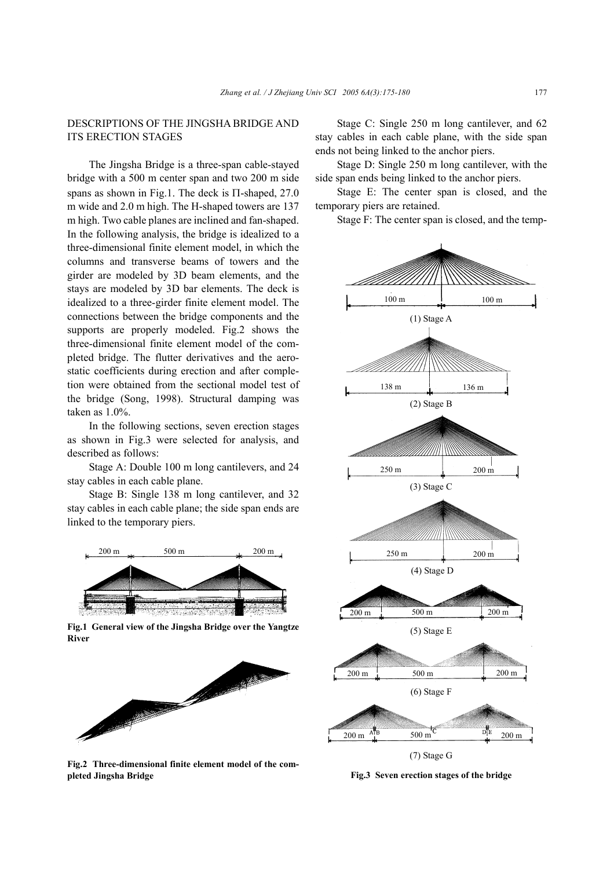## DESCRIPTIONS OF THE JINGSHA BRIDGE AND ITS ERECTION STAGES

The Jingsha Bridge is a three-span cable-stayed bridge with a 500 m center span and two 200 m side spans as shown in Fig.1. The deck is Π-shaped, 27.0 m wide and 2.0 m high. The H-shaped towers are 137 m high. Two cable planes are inclined and fan-shaped. In the following analysis, the bridge is idealized to a three-dimensional finite element model, in which the columns and transverse beams of towers and the girder are modeled by 3D beam elements, and the stays are modeled by 3D bar elements. The deck is idealized to a three-girder finite element model. The connections between the bridge components and the supports are properly modeled. Fig.2 shows the three-dimensional finite element model of the completed bridge. The flutter derivatives and the aerostatic coefficients during erection and after completion were obtained from the sectional model test of the bridge (Song, 1998). Structural damping was taken as 1.0%.

In the following sections, seven erection stages as shown in Fig.3 were selected for analysis, and described as follows:

Stage A: Double 100 m long cantilevers, and 24 stay cables in each cable plane.

Stage B: Single 138 m long cantilever, and 32 stay cables in each cable plane; the side span ends are linked to the temporary piers.



**Fig.1 General view of the Jingsha Bridge over the Yangtze River** 



**Fig.2 Three-dimensional finite element model of the completed Jingsha Bridge** 

Stage C: Single 250 m long cantilever, and 62 stay cables in each cable plane, with the side span ends not being linked to the anchor piers.

Stage D: Single 250 m long cantilever, with the side span ends being linked to the anchor piers.

Stage E: The center span is closed, and the temporary piers are retained.

Stage F: The center span is closed, and the temp-



**Fig.3 Seven erection stages of the bridge**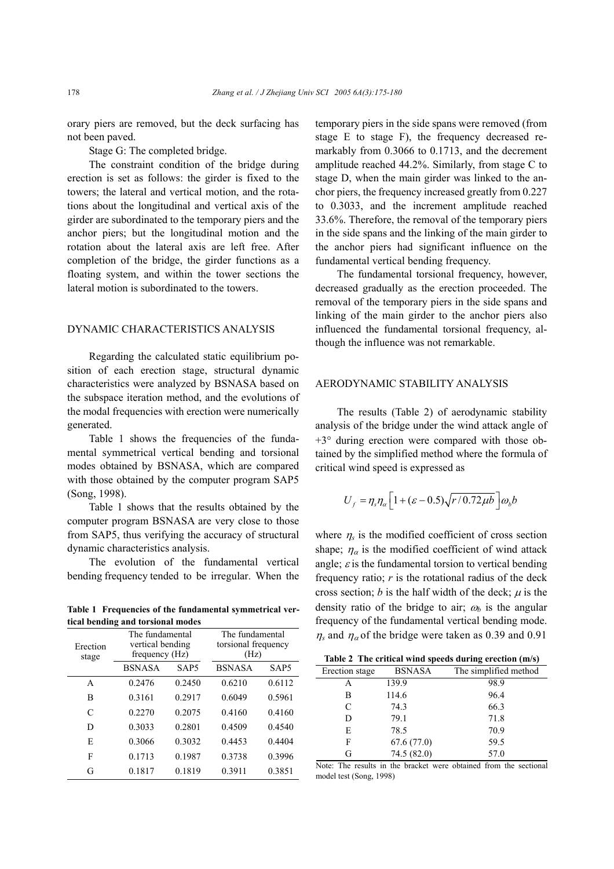orary piers are removed, but the deck surfacing has not been paved.

Stage G: The completed bridge.

The constraint condition of the bridge during erection is set as follows: the girder is fixed to the towers; the lateral and vertical motion, and the rotations about the longitudinal and vertical axis of the girder are subordinated to the temporary piers and the anchor piers; but the longitudinal motion and the rotation about the lateral axis are left free. After completion of the bridge, the girder functions as a floating system, and within the tower sections the lateral motion is subordinated to the towers.

#### DYNAMIC CHARACTERISTICS ANALYSIS

Regarding the calculated static equilibrium position of each erection stage, structural dynamic characteristics were analyzed by BSNASA based on the subspace iteration method, and the evolutions of the modal frequencies with erection were numerically generated.

Table 1 shows the frequencies of the fundamental symmetrical vertical bending and torsional modes obtained by BSNASA, which are compared with those obtained by the computer program SAP5 (Song, 1998).

Table 1 shows that the results obtained by the computer program BSNASA are very close to those from SAP5, thus verifying the accuracy of structural dynamic characteristics analysis.

The evolution of the fundamental vertical bending frequency tended to be irregular. When the

**Table 1 Frequencies of the fundamental symmetrical vertical bending and torsional modes** 

| Erection<br>stage | The fundamental<br>vertical bending<br>frequency (Hz) |                  | The fundamental<br>torsional frequency<br>(Hz) |        |
|-------------------|-------------------------------------------------------|------------------|------------------------------------------------|--------|
|                   | <b>BSNASA</b>                                         | SAP <sub>5</sub> | <b>BSNASA</b>                                  | SAP5   |
| A                 | 0 2476                                                | 0.2450           | 0.6210                                         | 0.6112 |
| в                 | 0 3 1 6 1                                             | 0.2917           | 0.6049                                         | 0.5961 |
| C                 | 0.2270                                                | 0.2075           | 0.4160                                         | 0.4160 |
| D                 | 0.3033                                                | 0.2801           | 0.4509                                         | 0.4540 |
| E                 | 0.3066                                                | 0.3032           | 0.4453                                         | 0.4404 |
| F                 | 0.1713                                                | 0.1987           | 0.3738                                         | 0.3996 |
| G                 | 0.1817                                                | 0.1819           | 0.3911                                         | 0.3851 |

temporary piers in the side spans were removed (from stage E to stage F), the frequency decreased remarkably from 0.3066 to 0.1713, and the decrement amplitude reached 44.2%. Similarly, from stage C to stage D, when the main girder was linked to the anchor piers, the frequency increased greatly from 0.227 to 0.3033, and the increment amplitude reached 33.6%. Therefore, the removal of the temporary piers in the side spans and the linking of the main girder to the anchor piers had significant influence on the fundamental vertical bending frequency.

The fundamental torsional frequency, however, decreased gradually as the erection proceeded. The removal of the temporary piers in the side spans and linking of the main girder to the anchor piers also influenced the fundamental torsional frequency, although the influence was not remarkable.

#### AERODYNAMIC STABILITY ANALYSIS

The results (Table 2) of aerodynamic stability analysis of the bridge under the wind attack angle of +3° during erection were compared with those obtained by the simplified method where the formula of critical wind speed is expressed as

$$
U_f = \eta_s \eta_a \left[ 1 + (\varepsilon - 0.5) \sqrt{r/0.72 \mu b} \right] \omega_b b
$$

where  $\eta_s$  is the modified coefficient of cross section shape;  $\eta_{\alpha}$  is the modified coefficient of wind attack angle;  $\varepsilon$  is the fundamental torsion to vertical bending frequency ratio; *r* is the rotational radius of the deck cross section; *b* is the half width of the deck;  $\mu$  is the density ratio of the bridge to air;  $\omega_b$  is the angular frequency of the fundamental vertical bending mode.  $\eta_s$  and  $\eta_a$  of the bridge were taken as 0.39 and 0.91

|  | Table 2 The critical wind speeds during erection (m/s) |  |
|--|--------------------------------------------------------|--|
|  |                                                        |  |

| Erection stage | <b>BSNASA</b> | The simplified method |
|----------------|---------------|-----------------------|
| Α              | 139.9         | 98.9                  |
| в              | 114.6         | 96.4                  |
| C              | 74.3          | 66.3                  |
| D              | 79.1          | 71.8                  |
| E              | 78.5          | 70.9                  |
| F              | 67.6(77.0)    | 59.5                  |
| G              | 74.5 (82.0)   | 57.0                  |

Note: The results in the bracket were obtained from the sectional model test (Song, 1998)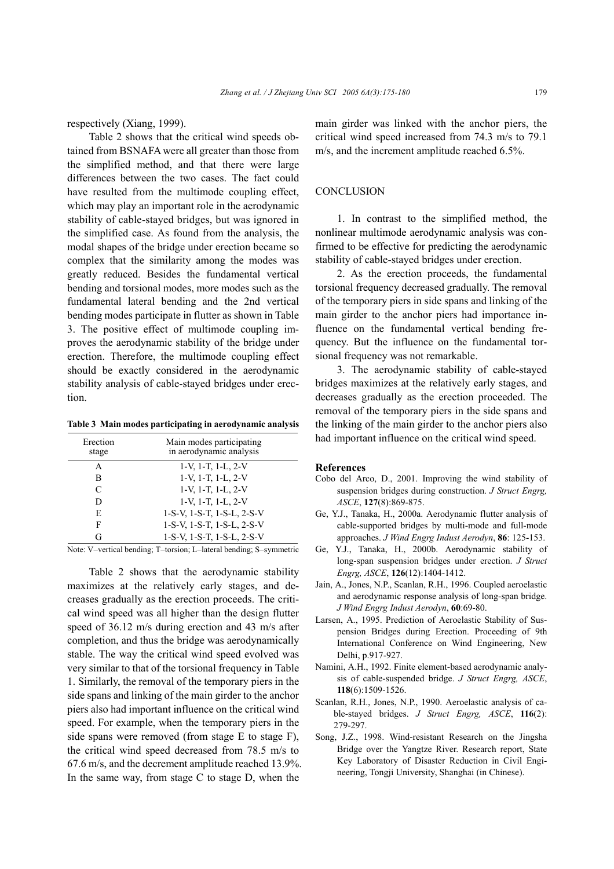respectively (Xiang, 1999).

Table 2 shows that the critical wind speeds obtained from BSNAFA were all greater than those from the simplified method, and that there were large differences between the two cases. The fact could have resulted from the multimode coupling effect, which may play an important role in the aerodynamic stability of cable-stayed bridges, but was ignored in the simplified case. As found from the analysis, the modal shapes of the bridge under erection became so complex that the similarity among the modes was greatly reduced. Besides the fundamental vertical bending and torsional modes, more modes such as the fundamental lateral bending and the 2nd vertical bending modes participate in flutter as shown in Table 3. The positive effect of multimode coupling improves the aerodynamic stability of the bridge under erection. Therefore, the multimode coupling effect should be exactly considered in the aerodynamic stability analysis of cable-stayed bridges under erection.

**Table 3 Main modes participating in aerodynamic analysis** 

| Erection<br>stage | Main modes participating<br>in aerodynamic analysis |
|-------------------|-----------------------------------------------------|
| A                 | $1-V$ , $1-T$ , $1-L$ , $2-V$                       |
| в                 | 1-V, 1-T, 1-L, 2-V                                  |
| C                 | 1-V, 1-T, 1-L, 2-V                                  |
| D                 | 1-V, 1-T, 1-L, 2-V                                  |
| E                 | 1-S-V, 1-S-T, 1-S-L, 2-S-V                          |
| F                 | 1-S-V, 1-S-T, 1-S-L, 2-S-V                          |
| G                 | 1-S-V, 1-S-T, 1-S-L, 2-S-V                          |

Note: V−vertical bending; T−torsion; L−lateral bending; S−symmetric

Table 2 shows that the aerodynamic stability maximizes at the relatively early stages, and decreases gradually as the erection proceeds. The critical wind speed was all higher than the design flutter speed of 36.12 m/s during erection and 43 m/s after completion, and thus the bridge was aerodynamically stable. The way the critical wind speed evolved was very similar to that of the torsional frequency in Table 1. Similarly, the removal of the temporary piers in the side spans and linking of the main girder to the anchor piers also had important influence on the critical wind speed. For example, when the temporary piers in the side spans were removed (from stage E to stage F), the critical wind speed decreased from 78.5 m/s to 67.6 m/s, and the decrement amplitude reached 13.9%. In the same way, from stage C to stage D, when the

main girder was linked with the anchor piers, the critical wind speed increased from 74.3 m/s to 79.1 m/s, and the increment amplitude reached 6.5%.

#### **CONCLUSION**

1. In contrast to the simplified method, the nonlinear multimode aerodynamic analysis was confirmed to be effective for predicting the aerodynamic stability of cable-stayed bridges under erection.

2. As the erection proceeds, the fundamental torsional frequency decreased gradually. The removal of the temporary piers in side spans and linking of the main girder to the anchor piers had importance influence on the fundamental vertical bending frequency. But the influence on the fundamental torsional frequency was not remarkable.

3. The aerodynamic stability of cable-stayed bridges maximizes at the relatively early stages, and decreases gradually as the erection proceeded. The removal of the temporary piers in the side spans and the linking of the main girder to the anchor piers also had important influence on the critical wind speed.

#### **References**

- Cobo del Arco, D., 2001. Improving the wind stability of suspension bridges during construction. *J Struct Engrg, ASCE*, **127**(8):869-875.
- Ge, Y.J., Tanaka, H., 2000a. Aerodynamic flutter analysis of cable-supported bridges by multi-mode and full-mode approaches. *J Wind Engrg Indust Aerodyn*, **86**: 125-153.
- Ge, Y.J., Tanaka, H., 2000b. Aerodynamic stability of long-span suspension bridges under erection. *J Struct Engrg, ASCE*, **126**(12):1404-1412.
- Jain, A., Jones, N.P., Scanlan, R.H., 1996. Coupled aeroelastic and aerodynamic response analysis of long-span bridge. *J Wind Engrg Indust Aerodyn*, **60**:69-80.
- Larsen, A., 1995. Prediction of Aeroelastic Stability of Suspension Bridges during Erection. Proceeding of 9th International Conference on Wind Engineering, New Delhi, p.917-927.
- Namini, A.H., 1992. Finite element-based aerodynamic analysis of cable-suspended bridge. *J Struct Engrg, ASCE*, **118**(6):1509-1526.
- Scanlan, R.H., Jones, N.P., 1990. Aeroelastic analysis of cable-stayed bridges. *J Struct Engrg, ASCE*, **116**(2): 279-297.
- Song, J.Z., 1998. Wind-resistant Research on the Jingsha Bridge over the Yangtze River. Research report, State Key Laboratory of Disaster Reduction in Civil Engineering, Tongji University, Shanghai (in Chinese).